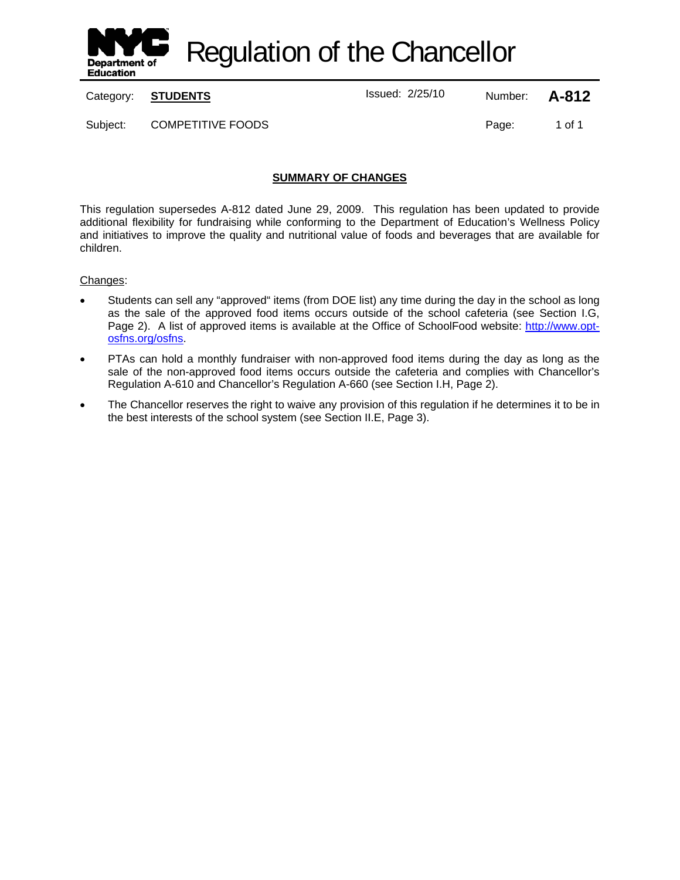

Regulation of the Chancellor

Category: **STUDENTS ISSUE 12/25/10** Number: **A-812** 

Subject: COMPETITIVE FOODS The Subject: 1 of 1

# **SUMMARY OF CHANGES**

This regulation supersedes A-812 dated June 29, 2009. This regulation has been updated to provide additional flexibility for fundraising while conforming to the Department of Education's Wellness Policy and initiatives to improve the quality and nutritional value of foods and beverages that are available for children.

#### Changes:

- Students can sell any "approved" items (from DOE list) any time during the day in the school as long as the sale of the approved food items occurs outside of the school cafeteria (see Section I.G, Page 2). A list of approved items is available at the Office of SchoolFood website: http://www.optosfns.org/osfns.
- PTAs can hold a monthly fundraiser with non-approved food items during the day as long as the sale of the non-approved food items occurs outside the cafeteria and complies with Chancellor's Regulation A-610 and Chancellor's Regulation A-660 (see Section I.H, Page 2).
- The Chancellor reserves the right to waive any provision of this regulation if he determines it to be in the best interests of the school system (see Section II.E, Page 3).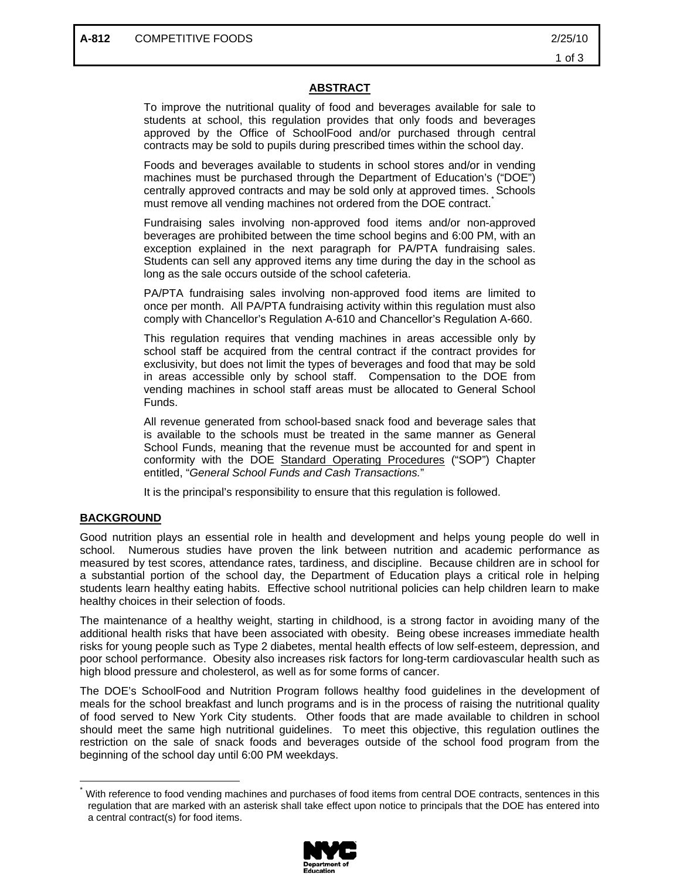## **ABSTRACT**

To improve the nutritional quality of food and beverages available for sale to students at school, this regulation provides that only foods and beverages approved by the Office of SchoolFood and/or purchased through central contracts may be sold to pupils during prescribed times within the school day.

Foods and beverages available to students in school stores and/or in vending machines must be purchased through the Department of Education's ("DOE") centrally approved contracts and may be sold only at approved times. Schools must remove all vending machines not ordered from the DOE contract.

Fundraising sales involving non-approved food items and/or non-approved beverages are prohibited between the time school begins and 6:00 PM, with an exception explained in the next paragraph for PA/PTA fundraising sales. Students can sell any approved items any time during the day in the school as long as the sale occurs outside of the school cafeteria.

PA/PTA fundraising sales involving non-approved food items are limited to once per month. All PA/PTA fundraising activity within this regulation must also comply with Chancellor's Regulation A-610 and Chancellor's Regulation A-660.

This regulation requires that vending machines in areas accessible only by school staff be acquired from the central contract if the contract provides for exclusivity, but does not limit the types of beverages and food that may be sold in areas accessible only by school staff. Compensation to the DOE from vending machines in school staff areas must be allocated to General School Funds.

All revenue generated from school-based snack food and beverage sales that is available to the schools must be treated in the same manner as General School Funds, meaning that the revenue must be accounted for and spent in conformity with the DOE Standard Operating Procedures ("SOP") Chapter entitled, "*General School Funds and Cash Transactions.*"

It is the principal's responsibility to ensure that this regulation is followed.

## **BACKGROUND**

 $\overline{a}$ 

Good nutrition plays an essential role in health and development and helps young people do well in school. Numerous studies have proven the link between nutrition and academic performance as measured by test scores, attendance rates, tardiness, and discipline. Because children are in school for a substantial portion of the school day, the Department of Education plays a critical role in helping students learn healthy eating habits. Effective school nutritional policies can help children learn to make healthy choices in their selection of foods.

The maintenance of a healthy weight, starting in childhood, is a strong factor in avoiding many of the additional health risks that have been associated with obesity. Being obese increases immediate health risks for young people such as Type 2 diabetes, mental health effects of low self-esteem, depression, and poor school performance. Obesity also increases risk factors for long-term cardiovascular health such as high blood pressure and cholesterol, as well as for some forms of cancer.

The DOE's SchoolFood and Nutrition Program follows healthy food guidelines in the development of meals for the school breakfast and lunch programs and is in the process of raising the nutritional quality of food served to New York City students. Other foods that are made available to children in school should meet the same high nutritional guidelines. To meet this objective, this regulation outlines the restriction on the sale of snack foods and beverages outside of the school food program from the beginning of the school day until 6:00 PM weekdays.

With reference to food vending machines and purchases of food items from central DOE contracts, sentences in this regulation that are marked with an asterisk shall take effect upon notice to principals that the DOE has entered into a central contract(s) for food items.

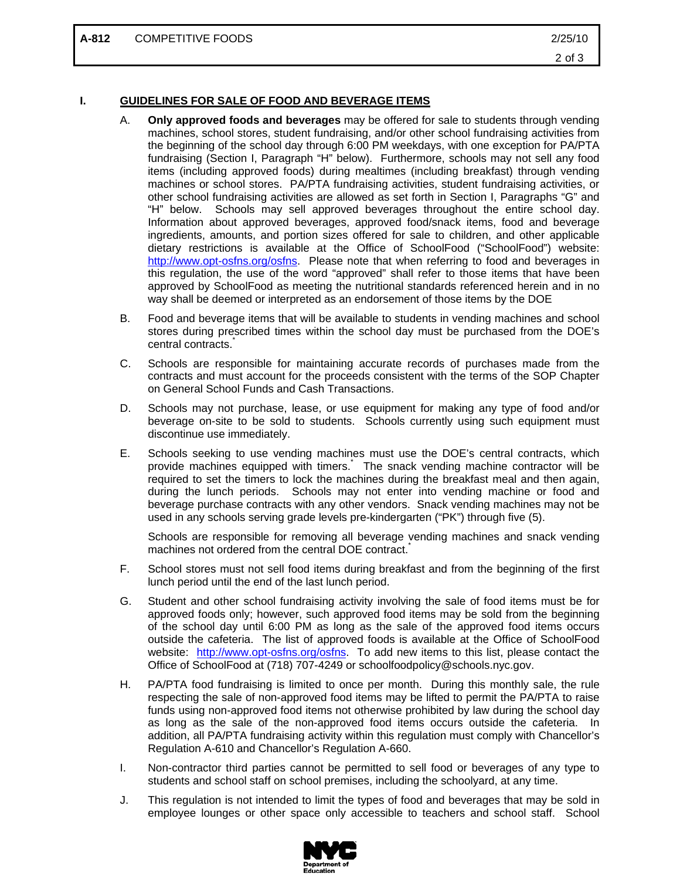#### **I. GUIDELINES FOR SALE OF FOOD AND BEVERAGE ITEMS**

- A. **Only approved foods and beverages** may be offered for sale to students through vending machines, school stores, student fundraising, and/or other school fundraising activities from the beginning of the school day through 6:00 PM weekdays, with one exception for PA/PTA fundraising (Section I, Paragraph "H" below). Furthermore, schools may not sell any food items (including approved foods) during mealtimes (including breakfast) through vending machines or school stores. PA/PTA fundraising activities, student fundraising activities, or other school fundraising activities are allowed as set forth in Section I, Paragraphs "G" and "H" below. Schools may sell approved beverages throughout the entire school day. Information about approved beverages, approved food/snack items, food and beverage ingredients, amounts, and portion sizes offered for sale to children, and other applicable dietary restrictions is available at the Office of SchoolFood ("SchoolFood") website: http://www.opt-osfns.org/osfns. Please note that when referring to food and beverages in this regulation, the use of the word "approved" shall refer to those items that have been approved by SchoolFood as meeting the nutritional standards referenced herein and in no way shall be deemed or interpreted as an endorsement of those items by the DOE
- B. Food and beverage items that will be available to students in vending machines and school stores during prescribed times within the school day must be purchased from the DOE's central contracts.
- C. Schools are responsible for maintaining accurate records of purchases made from the contracts and must account for the proceeds consistent with the terms of the SOP Chapter on General School Funds and Cash Transactions.
- D. Schools may not purchase, lease, or use equipment for making any type of food and/or beverage on-site to be sold to students. Schools currently using such equipment must discontinue use immediately.
- E. Schools seeking to use vending machines must use the DOE's central contracts, which provide machines equipped with timers. The snack vending machine contractor will be required to set the timers to lock the machines during the breakfast meal and then again, during the lunch periods. Schools may not enter into vending machine or food and beverage purchase contracts with any other vendors. Snack vending machines may not be used in any schools serving grade levels pre-kindergarten ("PK") through five (5).

Schools are responsible for removing all beverage vending machines and snack vending machines not ordered from the central DOE contract.

- F. School stores must not sell food items during breakfast and from the beginning of the first lunch period until the end of the last lunch period.
- G. Student and other school fundraising activity involving the sale of food items must be for approved foods only; however, such approved food items may be sold from the beginning of the school day until 6:00 PM as long as the sale of the approved food items occurs outside the cafeteria. The list of approved foods is available at the Office of SchoolFood website: http://www.opt-osfns.org/osfns. To add new items to this list, please contact the Office of SchoolFood at (718) 707-4249 or schoolfoodpolicy@schools.nyc.gov.
- H. PA/PTA food fundraising is limited to once per month. During this monthly sale, the rule respecting the sale of non-approved food items may be lifted to permit the PA/PTA to raise funds using non-approved food items not otherwise prohibited by law during the school day as long as the sale of the non-approved food items occurs outside the cafeteria. In addition, all PA/PTA fundraising activity within this regulation must comply with Chancellor's Regulation A-610 and Chancellor's Regulation A-660.
- I. Non-contractor third parties cannot be permitted to sell food or beverages of any type to students and school staff on school premises, including the schoolyard, at any time.
- J. This regulation is not intended to limit the types of food and beverages that may be sold in employee lounges or other space only accessible to teachers and school staff. School